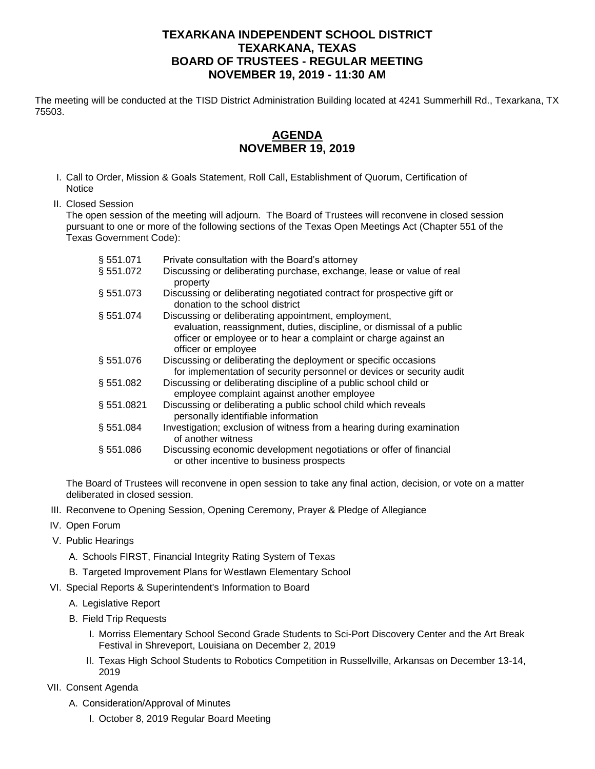## **TEXARKANA INDEPENDENT SCHOOL DISTRICT TEXARKANA, TEXAS BOARD OF TRUSTEES - REGULAR MEETING NOVEMBER 19, 2019 - 11:30 AM**

The meeting will be conducted at the TISD District Administration Building located at 4241 Summerhill Rd., Texarkana, TX 75503.

## **AGENDA NOVEMBER 19, 2019**

- I. Call to Order, Mission & Goals Statement, Roll Call, Establishment of Quorum, Certification of **Notice**
- II. Closed Session

The open session of the meeting will adjourn. The Board of Trustees will reconvene in closed session pursuant to one or more of the following sections of the Texas Open Meetings Act (Chapter 551 of the Texas Government Code):

| § 551.071 | Private consultation with the Board's attorney                                                                                                                                                                          |
|-----------|-------------------------------------------------------------------------------------------------------------------------------------------------------------------------------------------------------------------------|
| § 551.072 | Discussing or deliberating purchase, exchange, lease or value of real<br>property                                                                                                                                       |
| § 551.073 | Discussing or deliberating negotiated contract for prospective gift or<br>donation to the school district                                                                                                               |
| § 551.074 | Discussing or deliberating appointment, employment,<br>evaluation, reassignment, duties, discipline, or dismissal of a public<br>officer or employee or to hear a complaint or charge against an<br>officer or employee |
| § 551.076 | Discussing or deliberating the deployment or specific occasions<br>for implementation of security personnel or devices or security audit                                                                                |
| §551.082  | Discussing or deliberating discipline of a public school child or<br>employee complaint against another employee                                                                                                        |
| §551.0821 | Discussing or deliberating a public school child which reveals<br>personally identifiable information                                                                                                                   |
| §551.084  | Investigation; exclusion of witness from a hearing during examination<br>of another witness                                                                                                                             |
| § 551.086 | Discussing economic development negotiations or offer of financial<br>or other incentive to business prospects                                                                                                          |

The Board of Trustees will reconvene in open session to take any final action, decision, or vote on a matter deliberated in closed session.

- III. Reconvene to Opening Session, Opening Ceremony, Prayer & Pledge of Allegiance
- IV. Open Forum
- V. Public Hearings
	- A. Schools FIRST, Financial Integrity Rating System of Texas
	- B. Targeted Improvement Plans for Westlawn Elementary School
- VI. Special Reports & Superintendent's Information to Board
	- A. Legislative Report
	- B. Field Trip Requests
		- I. Morriss Elementary School Second Grade Students to Sci-Port Discovery Center and the Art Break Festival in Shreveport, Louisiana on December 2, 2019
		- II. Texas High School Students to Robotics Competition in Russellville, Arkansas on December 13-14, 2019
- VII. Consent Agenda
	- A. Consideration/Approval of Minutes
		- I. October 8, 2019 Regular Board Meeting